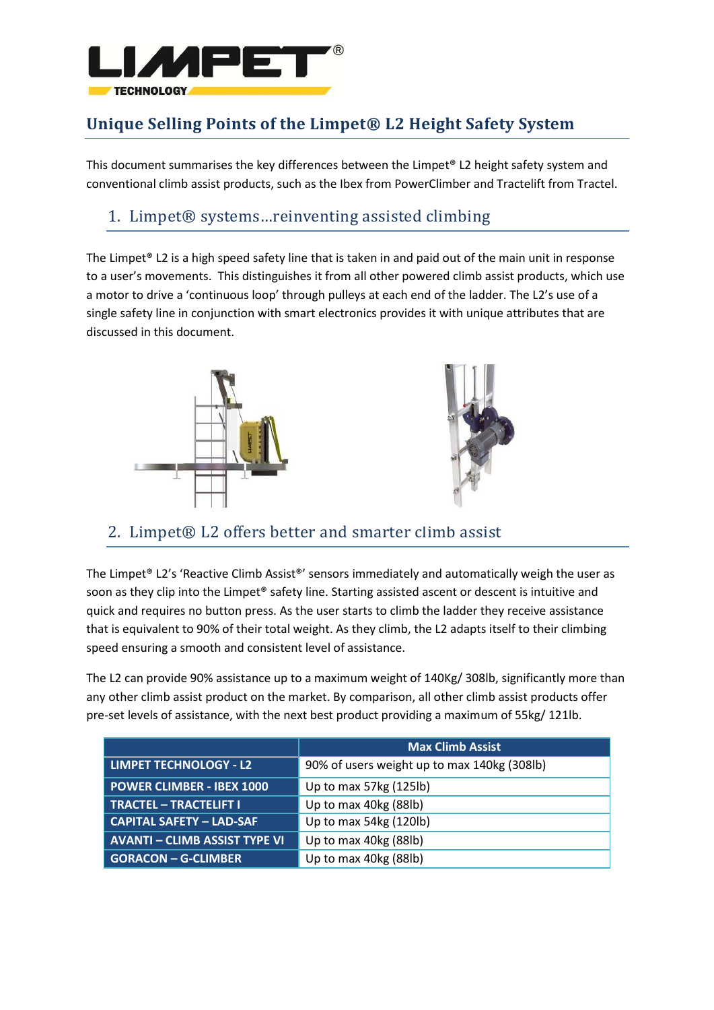

# **Unique Selling Points of the Limpet® L2 Height Safety System**

This document summarises the key differences between the Limpet® L2 height safety system and conventional climb assist products, such as the Ibex from PowerClimber and Tractelift from Tractel.

#### 1. Limpet® systems…reinventing assisted climbing

The Limpet<sup>®</sup> L2 is a high speed safety line that is taken in and paid out of the main unit in response to a user's movements. This distinguishes it from all other powered climb assist products, which use a motor to drive a 'continuous loop' through pulleys at each end of the ladder. The L2's use of a single safety line in conjunction with smart electronics provides it with unique attributes that are discussed in this document.





#### 2. Limpet® L2 offers better and smarter climb assist

The Limpet® L2's 'Reactive Climb Assist®' sensors immediately and automatically weigh the user as soon as they clip into the Limpet® safety line. Starting assisted ascent or descent is intuitive and quick and requires no button press. As the user starts to climb the ladder they receive assistance that is equivalent to 90% of their total weight. As they climb, the L2 adapts itself to their climbing speed ensuring a smooth and consistent level of assistance.

The L2 can provide 90% assistance up to a maximum weight of 140Kg/ 308lb, significantly more than any other climb assist product on the market. By comparison, all other climb assist products offer pre-set levels of assistance, with the next best product providing a maximum of 55kg/ 121lb.

|                                      | <b>Max Climb Assist</b>                     |  |  |  |  |
|--------------------------------------|---------------------------------------------|--|--|--|--|
| LIMPET TECHNOLOGY - L2               | 90% of users weight up to max 140kg (308lb) |  |  |  |  |
| <b>POWER CLIMBER - IBEX 1000</b>     | Up to max 57kg (125lb)                      |  |  |  |  |
| TRACTEL - TRACTELIFT I               | Up to max 40kg (88lb)                       |  |  |  |  |
| <b>CAPITAL SAFETY - LAD-SAF</b>      | Up to max 54kg (120lb)                      |  |  |  |  |
| <b>AVANTI – CLIMB ASSIST TYPE VI</b> | Up to max 40kg (88lb)                       |  |  |  |  |
| <b>GORACON - G-CLIMBER</b>           | Up to max 40kg (88lb)                       |  |  |  |  |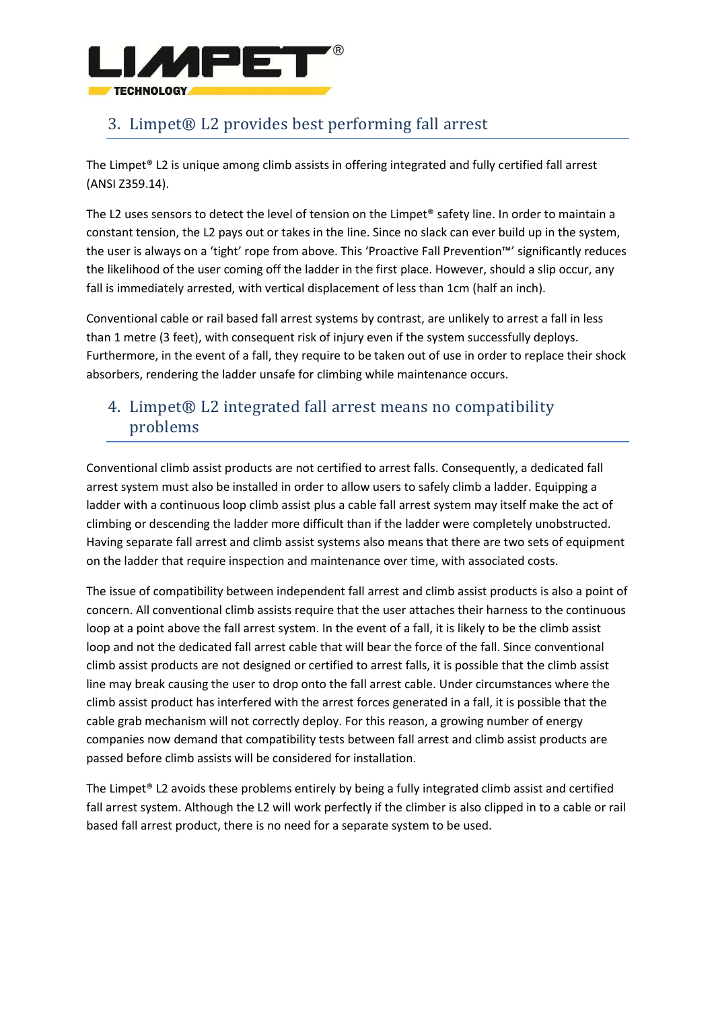

### 3. Limpet® L2 provides best performing fall arrest

The Limpet® L2 is unique among climb assists in offering integrated and fully certified fall arrest (ANSI Z359.14).

The L2 uses sensors to detect the level of tension on the Limpet® safety line. In order to maintain a constant tension, the L2 pays out or takes in the line. Since no slack can ever build up in the system, the user is always on a 'tight' rope from above. This 'Proactive Fall Prevention™' significantly reduces the likelihood of the user coming off the ladder in the first place. However, should a slip occur, any fall is immediately arrested, with vertical displacement of less than 1cm (half an inch).

Conventional cable or rail based fall arrest systems by contrast, are unlikely to arrest a fall in less than 1 metre (3 feet), with consequent risk of injury even if the system successfully deploys. Furthermore, in the event of a fall, they require to be taken out of use in order to replace their shock absorbers, rendering the ladder unsafe for climbing while maintenance occurs.

#### 4. Limpet® L2 integrated fall arrest means no compatibility problems

Conventional climb assist products are not certified to arrest falls. Consequently, a dedicated fall arrest system must also be installed in order to allow users to safely climb a ladder. Equipping a ladder with a continuous loop climb assist plus a cable fall arrest system may itself make the act of climbing or descending the ladder more difficult than if the ladder were completely unobstructed. Having separate fall arrest and climb assist systems also means that there are two sets of equipment on the ladder that require inspection and maintenance over time, with associated costs.

The issue of compatibility between independent fall arrest and climb assist products is also a point of concern. All conventional climb assists require that the user attaches their harness to the continuous loop at a point above the fall arrest system. In the event of a fall, it is likely to be the climb assist loop and not the dedicated fall arrest cable that will bear the force of the fall. Since conventional climb assist products are not designed or certified to arrest falls, it is possible that the climb assist line may break causing the user to drop onto the fall arrest cable. Under circumstances where the climb assist product has interfered with the arrest forces generated in a fall, it is possible that the cable grab mechanism will not correctly deploy. For this reason, a growing number of energy companies now demand that compatibility tests between fall arrest and climb assist products are passed before climb assists will be considered for installation.

The Limpet® L2 avoids these problems entirely by being a fully integrated climb assist and certified fall arrest system. Although the L2 will work perfectly if the climber is also clipped in to a cable or rail based fall arrest product, there is no need for a separate system to be used.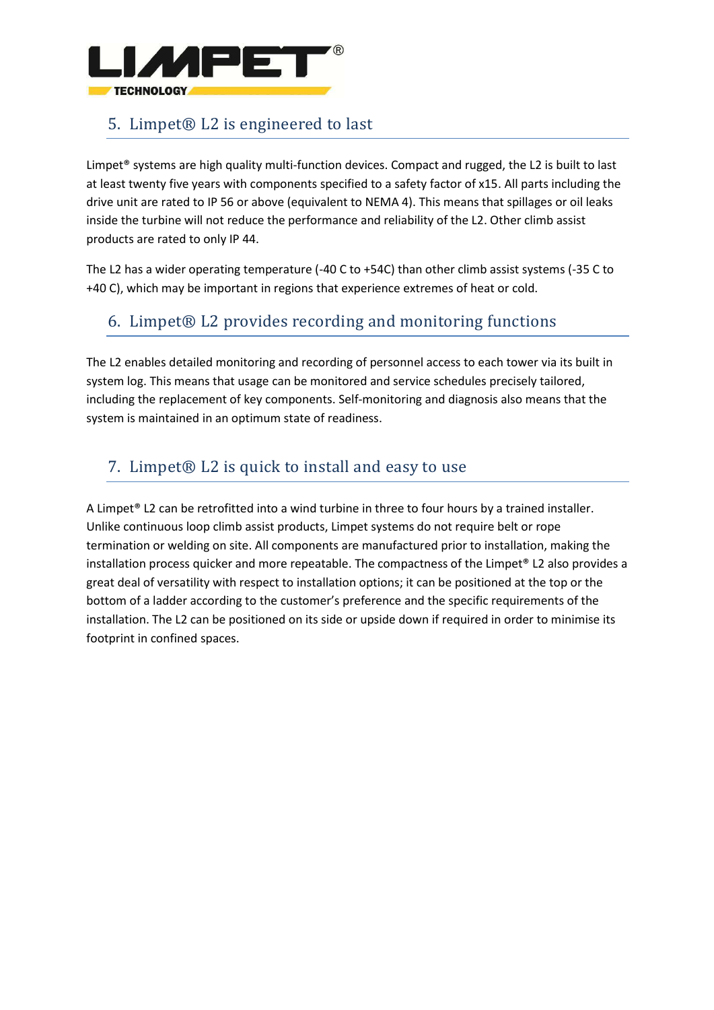

### 5. Limpet® L2 is engineered to last

Limpet® systems are high quality multi-function devices. Compact and rugged, the L2 is built to last at least twenty five years with components specified to a safety factor of x15. All parts including the drive unit are rated to IP 56 or above (equivalent to NEMA 4). This means that spillages or oil leaks inside the turbine will not reduce the performance and reliability of the L2. Other climb assist products are rated to only IP 44.

The L2 has a wider operating temperature (-40 C to +54C) than other climb assist systems (-35 C to +40 C), which may be important in regions that experience extremes of heat or cold.

### 6. Limpet® L2 provides recording and monitoring functions

The L2 enables detailed monitoring and recording of personnel access to each tower via its built in system log. This means that usage can be monitored and service schedules precisely tailored, including the replacement of key components. Self-monitoring and diagnosis also means that the system is maintained in an optimum state of readiness.

## 7. Limpet® L2 is quick to install and easy to use

A Limpet® L2 can be retrofitted into a wind turbine in three to four hours by a trained installer. Unlike continuous loop climb assist products, Limpet systems do not require belt or rope termination or welding on site. All components are manufactured prior to installation, making the installation process quicker and more repeatable. The compactness of the Limpet® L2 also provides a great deal of versatility with respect to installation options; it can be positioned at the top or the bottom of a ladder according to the customer's preference and the specific requirements of the installation. The L2 can be positioned on its side or upside down if required in order to minimise its footprint in confined spaces.